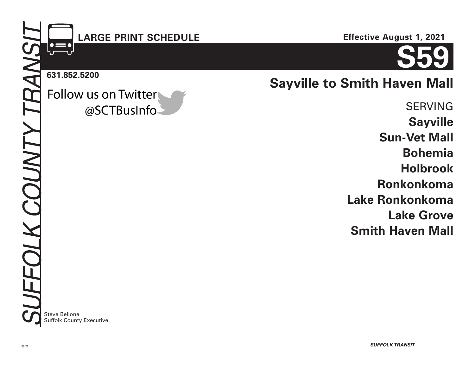## **LARGE PRINT SCHEDULE**

**Effective August 1, 2021**

# **S59**

**631.852.5200**

## Follow us on Twitter @SCTBusInfo-

**Sayville to Smith Haven Mall**

SERVING **Sayville Sun-Vet Mall Bohemia Holbrook Ronkonkoma Lake Ronkonkoma Lake Grove Smith Haven Mall**

**Steve Bellone** Suffolk County Executive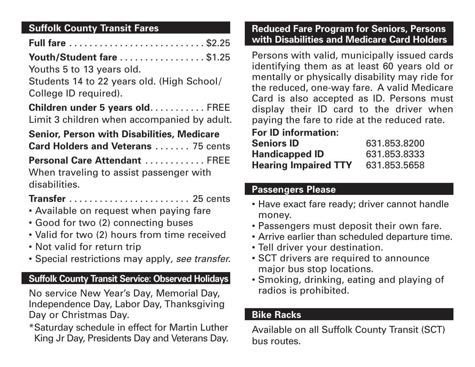## **Suffolk County Transit Fares**

| <b>Youth/Student fare\$1.25</b>                                                                                                                                                                                                                                                                                                                                                             |  |  |  |  |  |
|---------------------------------------------------------------------------------------------------------------------------------------------------------------------------------------------------------------------------------------------------------------------------------------------------------------------------------------------------------------------------------------------|--|--|--|--|--|
| Youths 5 to 13 years old.                                                                                                                                                                                                                                                                                                                                                                   |  |  |  |  |  |
| Students 14 to 22 years old. (High School/                                                                                                                                                                                                                                                                                                                                                  |  |  |  |  |  |
| College ID required).                                                                                                                                                                                                                                                                                                                                                                       |  |  |  |  |  |
| Children under 5 years oldFREE<br>Limit 3 children when accompanied by adult.                                                                                                                                                                                                                                                                                                               |  |  |  |  |  |
| <b>Senior, Person with Disabilities, Medicare</b>                                                                                                                                                                                                                                                                                                                                           |  |  |  |  |  |
| <b>Card Holders and Veterans  75 cents</b>                                                                                                                                                                                                                                                                                                                                                  |  |  |  |  |  |
| $\mathbf{D}_{\mathbf{a}}$ $\mathbf{a}$ $\mathbf{a}$ $\mathbf{A}_{\mathbf{a}}$ $\mathbf{A}_{\mathbf{a}}$ $\mathbf{A}_{\mathbf{a}}$ $\mathbf{A}_{\mathbf{a}}$ $\mathbf{A}_{\mathbf{a}}$ $\mathbf{A}_{\mathbf{a}}$ $\mathbf{A}_{\mathbf{a}}$ $\mathbf{A}_{\mathbf{a}}$ $\mathbf{A}_{\mathbf{a}}$ $\mathbf{A}_{\mathbf{a}}$ $\mathbf{A}_{\mathbf{a}}$ $\mathbf{A}_{\mathbf{a}}$ $\mathbf{A}_{\$ |  |  |  |  |  |

**Personal Care Attendant** ............ FREE When traveling to assist passenger with disabilities.

## **Transfer** ........................ 25 cents

- Available on request when paying fare
- Good for two (2) connecting buses
- Valid for two (2) hours from time received
- Not valid for return trip
- Special restrictions may apply*, see transfer.*

## **Suffolk County Transit Service: Observed Holidays**

No service New Year's Day, Memorial Day, Independence Day, Labor Day, Thanksgiving Day or Christmas Day.

\*Saturday schedule in effect for Martin Luther King Jr Day, Presidents Day and Veterans Day.

#### **Reduced Fare Program for Seniors, Persons with Disabilities and Medicare Card Holders**

Persons with valid, municipally issued cards identifying them as at least 60 years old or mentally or physically disability may ride for the reduced, one-way fare. A valid Medicare Card is also accepted as ID. Persons must display their ID card to the driver when paying the fare to ride at the reduced rate.

## **For ID information:**

| <b>Seniors ID</b>           | 631.853.8200 |
|-----------------------------|--------------|
| <b>Handicapped ID</b>       | 631.853.8333 |
| <b>Hearing Impaired TTY</b> | 631.853.5658 |

## **Passengers Please**

- Have exact fare ready; driver cannot handle money.
- Passengers must deposit their own fare.
- Arrive earlier than scheduled departure time.
- Tell driver your destination.
- SCT drivers are required to announce major bus stop locations.
- Smoking, drinking, eating and playing of radios is prohibited.

## **Bike Racks**

Available on all Suffolk County Transit (SCT) bus routes.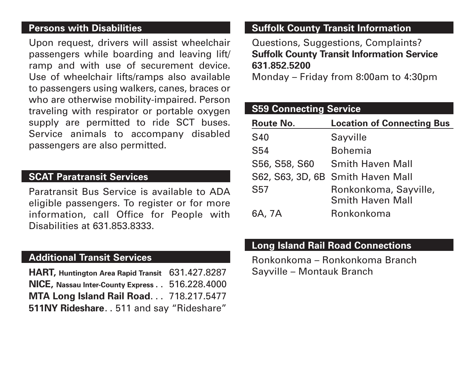#### **Persons with Disabilities**

Upon request, drivers will assist wheelchair passengers while boarding and leaving lift/ ramp and with use of securement device. Use of wheelchair lifts/ramps also available to passengers using walkers, canes, braces or who are otherwise mobility-impaired. Person traveling with respirator or portable oxygen supply are permitted to ride SCT buses. Service animals to accompany disabled passengers are also permitted.

#### **SCAT Paratransit Services**

Paratransit Bus Service is available to ADA eligible passengers. To register or for more information, call Office for People with Disabilities at 631.853.8333.

#### **Additional Transit Services**

**HART, Huntington Area Rapid Transit** 631.427.8287 **NICE, Nassau Inter-County Express** . . 516.228.4000 **MTA Long Island Rail Road**... 718.217.5477 **511NY Rideshare**. . 511 and say "Rideshare"

#### **Suffolk County Transit Information**

Questions, Suggestions, Complaints? **Suffolk County Transit Information Service 631.852.5200**

Monday – Friday from 8:00am to 4:30pm

| <b>S59 Connecting Service</b> |                                                  |  |  |  |
|-------------------------------|--------------------------------------------------|--|--|--|
| <b>Route No.</b>              | <b>Location of Connecting Bus</b>                |  |  |  |
| <b>S40</b>                    | Sayville                                         |  |  |  |
| S54                           | <b>Bohemia</b>                                   |  |  |  |
| S56, S58, S60                 | <b>Smith Haven Mall</b>                          |  |  |  |
|                               | S62, S63, 3D, 6B Smith Haven Mall                |  |  |  |
| <b>S57</b>                    | Ronkonkoma, Sayville,<br><b>Smith Haven Mall</b> |  |  |  |
| 6A, 7A                        | Ronkonkoma                                       |  |  |  |

#### **Long Island Rail Road Connections**

Ronkonkoma – Ronkonkoma Branch Sayville – Montauk Branch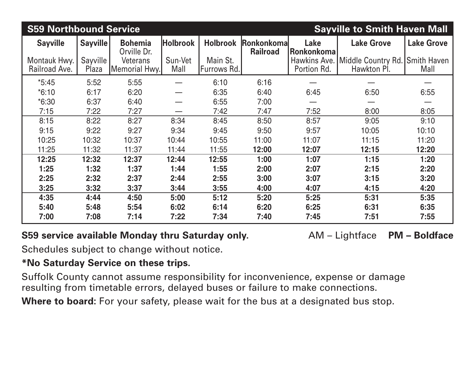| <b>S59 Northbound Service</b> |                   |                                  |                 |                         |                                       | <b>Sayville to Smith Haven Mall</b> |                                                  |                            |  |
|-------------------------------|-------------------|----------------------------------|-----------------|-------------------------|---------------------------------------|-------------------------------------|--------------------------------------------------|----------------------------|--|
| <b>Sayville</b>               | <b>Sayville</b>   | <b>Bohemia</b><br>Orville Dr.    | <b>Holbrook</b> | <b>Holbrook</b>         | <b>Ronkonkomal</b><br><b>Railroad</b> | Lake<br> Ronkonkoma                 | <b>Lake Grove</b>                                | <b>Lake Grove</b>          |  |
| Montauk Hwy.<br>Railroad Ave. | Sayville<br>Plaza | <b>Veterans</b><br>Memorial Hwy. | Sun-Vet<br>Mall | Main St.<br>Furrows Rd. |                                       | Portion Rd.                         | Hawkins Ave.   Middle Country Rd.<br>Hawkton PI. | <b>Smith Haven</b><br>Mall |  |
| $*5:45$                       | 5:52              | 5:55                             |                 | 6:10                    | 6:16                                  |                                     |                                                  |                            |  |
| $*6:10$                       | 6:17              | 6:20                             |                 | 6:35                    | 6:40                                  | 6:45                                | 6:50                                             | 6:55                       |  |
| $*6:30$                       | 6:37              | 6:40                             |                 | 6:55                    | 7:00                                  |                                     |                                                  |                            |  |
| 7:15                          | 7:22              | 7:27                             |                 | 7:42                    | 7:47                                  | 7:52                                | 8:00                                             | 8:05                       |  |
| 8:15                          | 8:22              | 8:27                             | 8:34            | 8:45                    | 8:50                                  | 8:57                                | 9:05                                             | 9:10                       |  |
| 9:15                          | 9:22              | 9:27                             | 9:34            | 9:45                    | 9:50                                  | 9:57                                | 10:05                                            | 10:10                      |  |
| 10:25                         | 10:32             | 10:37                            | 10:44           | 10:55                   | 11:00                                 | 11:07                               | 11:15                                            | 11:20                      |  |
| 11:25                         | 11:32             | 11:37                            | 11:44           | 11:55                   | 12:00                                 | 12:07<br>12:15                      |                                                  | 12:20                      |  |
| 12:25                         | 12:32             | 12:37                            | 12:44           | 12:55                   | 1:00                                  | 1:07                                | 1:15                                             | 1:20                       |  |
| 1:25                          | 1:32              | 1:37                             | 1:44            | 1:55                    | 2:00                                  | 2:07                                | 2:15                                             | 2:20                       |  |
| 2:25                          | 2:32              | 2:37                             | 2:44            | 2:55                    | 3:00                                  | 3:07                                | 3:15                                             | 3:20                       |  |
| 3:25                          | 3:32              | 3:37                             | 3:44            | 3:55                    | 4:00                                  | 4:07                                | 4:15                                             | 4:20                       |  |
| 4:35                          | 4:44              | 4:50                             | 5:00            | 5:12                    | 5:20                                  | 5:25                                | 5:31                                             | 5:35                       |  |
| 5:40                          | 5:48              | 5:54                             | 6:02            | 6:14                    | 6:20                                  | 6:25                                | 6:31                                             | 6:35                       |  |
| 7:00                          | 7:08              | 7:14                             | 7:22            | 7:34                    | 7:40                                  | 7:45                                | 7:51                                             | 7:55                       |  |

## **S59 service available Monday thru Saturday only.** AM – Lightface **PM – Boldface**

Schedules subject to change without notice.

## **\*No Saturday Service on these trips.**

Suffolk County cannot assume responsibility for inconvenience, expense or damage resulting from timetable errors, delayed buses or failure to make connections.

**Where to board:** For your safety, please wait for the bus at a designated bus stop.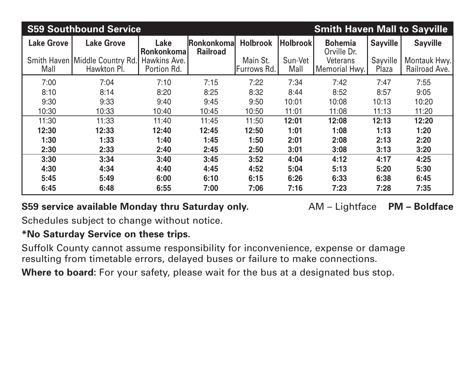| <b>S59 Southbound Service</b><br><b>Smith Haven Mall to Sayville</b> |                                               |                             |                                |                         |                 |                                  |                   |                               |
|----------------------------------------------------------------------|-----------------------------------------------|-----------------------------|--------------------------------|-------------------------|-----------------|----------------------------------|-------------------|-------------------------------|
| <b>Lake Grove</b>                                                    | <b>Lake Grove</b>                             | Lake<br><b>Ronkonkoma</b>   | Ronkonkomal<br><b>Railroad</b> | <b>Holbrook</b>         | <b>Holbrook</b> | <b>Bohemia</b><br>Orville Dr.    | <b>Sayville</b>   | <b>Sayville</b>               |
| Mall                                                                 | Smith Haven Middle Country Rd.<br>Hawkton Pl. | Hawkins Ave.<br>Portion Rd. |                                | Main St.<br>Furrows Rd. | Sun-Vet<br>Mall | <b>Veterans</b><br>Memorial Hwy. | Sayville<br>Plaza | Montauk Hwy.<br>Railroad Ave. |
| 7:00                                                                 | 7:04                                          | 7:10                        | 7:15                           | 7:22                    | 7:34            | 7:42                             | 7:47              | 7:55                          |
| 8:10                                                                 | 8:14                                          | 8:20                        | 8:25                           | 8:32                    | 8:44            | 8:52                             | 8:57              | 9:05                          |
| 9:30                                                                 | 9:33                                          | 9:40                        | 9:45                           | 9:50                    | 10:01           | 10:08                            | 10:13             | 10:20                         |
| 10:30                                                                | 10:33                                         | 10:40                       | 10:45                          | 10:50                   | 11:01           | 11:08                            | 11:13             | 11:20                         |
| 11:30                                                                | 11:33                                         | 11:40                       | 11:45                          | 11:50                   | 12:01           | 12:08                            | 12:13             | 12:20                         |
| 12:30                                                                | 12:33                                         | 12:40                       | 12:45                          | 12:50                   | 1:01            | 1:08                             | 1:13              | 1:20                          |
| 1:30                                                                 | 1:33                                          | 1:40                        | 1:45                           | 1:50                    | 2:01            | 2:08                             | 2:13              | 2:20                          |
| 2:30                                                                 | 2:33                                          | 2:40                        | 2:45                           | 2:50                    | 3:01            | 3:08                             | 3:13              | 3:20                          |
| 3:30                                                                 | 3:34                                          | 3:40                        | 3:45                           | 3:52                    | 4:04            | 4:12                             | 4:17              | 4:25                          |
| 4:30                                                                 | 4:34                                          | 4:40                        | 4:45                           | 4:52                    | 5:04            | 5:13                             | 5:20              | 5:30                          |
| 5:45                                                                 | 5:49                                          | 6:00                        | 6:10                           | 6:15                    | 6:26            | 6:33                             | 6:38              | 6:45                          |
| 6:45                                                                 | 6:48                                          | 6:55                        | 7:00                           | 7:06                    | 7:16            | 7:23                             | 7:28              | 7:35                          |

## **S59 service available Monday thru Saturday only.** AM – Lightface **PM – Boldface**

Schedules subject to change without notice.

## **\*No Saturday Service on these trips.**

Suffolk County cannot assume responsibility for inconvenience, expense or damage resulting from timetable errors, delayed buses or failure to make connections.

Where to board: For your safety, please wait for the bus at a designated bus stop.